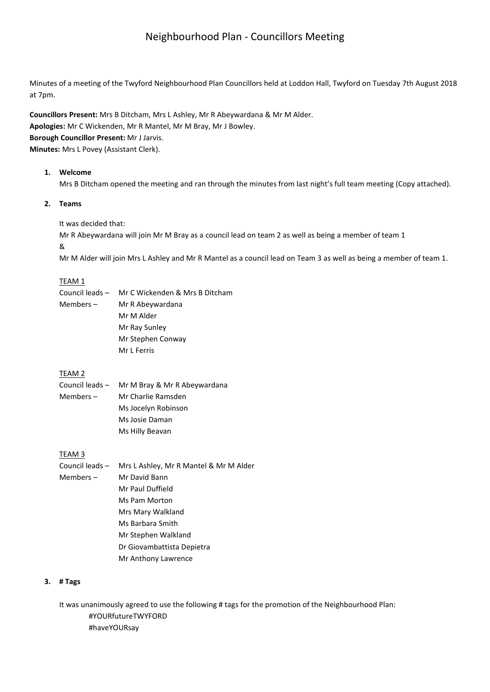# Neighbourhood Plan - Councillors Meeting

Minutes of a meeting of the Twyford Neighbourhood Plan Councillors held at Loddon Hall, Twyford on Tuesday 7th August 2018 at 7pm.

**Councillors Present:** Mrs B Ditcham, Mrs L Ashley, Mr R Abeywardana & Mr M Alder. **Apologies:** Mr C Wickenden, Mr R Mantel, Mr M Bray, Mr J Bowley. **Borough Councillor Present:** Mr J Jarvis. **Minutes:** Mrs L Povey (Assistant Clerk).

## **1. Welcome**

Mrs B Ditcham opened the meeting and ran through the minutes from last night's full team meeting (Copy attached).

# **2. Teams**

#### It was decided that:

Mr R Abeywardana will join Mr M Bray as a council lead on team 2 as well as being a member of team 1 &

Mr M Alder will join Mrs L Ashley and Mr R Mantel as a council lead on Team 3 as well as being a member of team 1.

## TEAM 1

|           | Council leads - Mr C Wickenden & Mrs B Ditcham |
|-----------|------------------------------------------------|
| Members – | Mr R Abeywardana                               |
|           | Mr M Alder                                     |
|           | Mr Ray Sunley                                  |
|           | Mr Stephen Conway                              |
|           | Mr L Ferris                                    |

# TEAM 2

Council leads – Mr M Bray & Mr R Abeywardana Members – Mr Charlie Ramsden Ms Jocelyn Robinson Ms Josie Daman Ms Hilly Beavan

## TEAM 3

Council leads – Mrs L Ashley, Mr R Mantel & Mr M Alder Members – Mr David Bann Mr Paul Duffield Ms Pam Morton Mrs Mary Walkland Ms Barbara Smith Mr Stephen Walkland Dr Giovambattista Depietra Mr Anthony Lawrence

#### **3. # Tags**

It was unanimously agreed to use the following # tags for the promotion of the Neighbourhood Plan: #YOURfutureTWYFORD #haveYOURsay